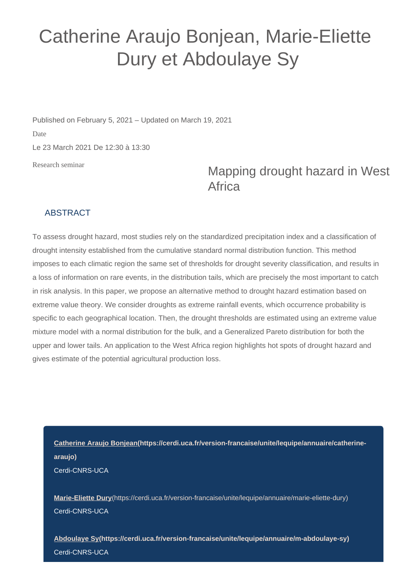## Catherine Araujo Bonjean, Marie-Eliette Dury et Abdoulaye Sy

Published on February 5, 2021 – Updated on March 19, 2021 Date Le 23 March 2021 De 12:30 à 13:30

Research seminar

## Mapping drought hazard in West **Africa**

## ABSTRACT

To assess drought hazard, most studies rely on the standardized precipitation index and a classification of drought intensity established from the cumulative standard normal distribution function. This method imposes to each climatic region the same set of thresholds for drought severity classification, and results in a loss of information on rare events, in the distribution tails, which are precisely the most important to catch in risk analysis. In this paper, we propose an alternative method to drought hazard estimation based on extreme value theory. We consider droughts as extreme rainfall events, which occurrence probability is specific to each geographical location. Then, the drought thresholds are estimated using an extreme value mixture model with a normal distribution for the bulk, and a Generalized Pareto distribution for both the upper and lower tails. An application to the West Africa region highlights hot spots of drought hazard and gives estimate of the potential agricultural production loss.

**[Catherine Araujo Bonjean\(https://cerdi.uca.fr/version-francaise/unite/lequipe/annuaire/catherine](https://cerdi.uca.fr/version-francaise/unite/lequipe/annuaire/catherine-araujo)[araujo\)](https://cerdi.uca.fr/version-francaise/unite/lequipe/annuaire/catherine-araujo)** Cerdi-CNRS-UCA

**Marie-Eliette Dury**[\(https://cerdi.uca.fr/version-francaise/unite/lequipe/annuaire/marie-eliette-dury\)](https://cerdi.uca.fr/version-francaise/unite/lequipe/annuaire/marie-eliette-dury) Cerdi-CNRS-UCA

**[Abdoulaye Sy\(https://cerdi.uca.fr/version-francaise/unite/lequipe/annuaire/m-abdoulaye-sy\)](https://cerdi.uca.fr/version-francaise/unite/lequipe/annuaire/m-abdoulaye-sy)** Cerdi-CNRS-UCA